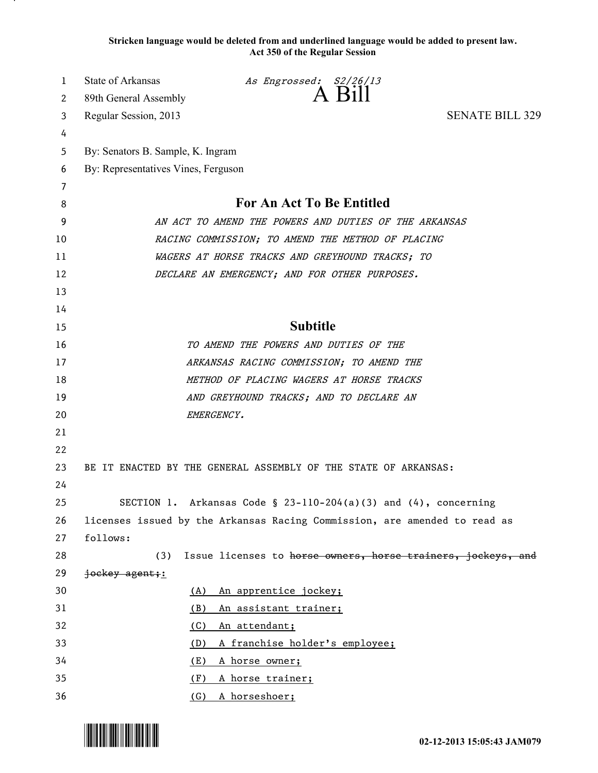**Stricken language would be deleted from and underlined language would be added to present law. Act 350 of the Regular Session**

| 1  | <b>State of Arkansas</b>                              | As Engrossed: S2/26/13                                                    |                        |  |
|----|-------------------------------------------------------|---------------------------------------------------------------------------|------------------------|--|
| 2  | 89th General Assembly                                 | $A$ $B111$                                                                |                        |  |
| 3  | Regular Session, 2013                                 |                                                                           | <b>SENATE BILL 329</b> |  |
| 4  |                                                       |                                                                           |                        |  |
| 5  | By: Senators B. Sample, K. Ingram                     |                                                                           |                        |  |
| 6  | By: Representatives Vines, Ferguson                   |                                                                           |                        |  |
| 7  |                                                       |                                                                           |                        |  |
| 8  | For An Act To Be Entitled                             |                                                                           |                        |  |
| 9  | AN ACT TO AMEND THE POWERS AND DUTIES OF THE ARKANSAS |                                                                           |                        |  |
| 10 | RACING COMMISSION; TO AMEND THE METHOD OF PLACING     |                                                                           |                        |  |
| 11 | WAGERS AT HORSE TRACKS AND GREYHOUND TRACKS; TO       |                                                                           |                        |  |
| 12 |                                                       | DECLARE AN EMERGENCY; AND FOR OTHER PURPOSES.                             |                        |  |
| 13 |                                                       |                                                                           |                        |  |
| 14 |                                                       |                                                                           |                        |  |
| 15 |                                                       | <b>Subtitle</b>                                                           |                        |  |
| 16 |                                                       | TO AMEND THE POWERS AND DUTIES OF THE                                     |                        |  |
| 17 | ARKANSAS RACING COMMISSION; TO AMEND THE              |                                                                           |                        |  |
| 18 | METHOD OF PLACING WAGERS AT HORSE TRACKS              |                                                                           |                        |  |
| 19 |                                                       | AND GREYHOUND TRACKS; AND TO DECLARE AN                                   |                        |  |
| 20 |                                                       | EMERGENCY.                                                                |                        |  |
| 21 |                                                       |                                                                           |                        |  |
| 22 |                                                       |                                                                           |                        |  |
| 23 |                                                       | BE IT ENACTED BY THE GENERAL ASSEMBLY OF THE STATE OF ARKANSAS:           |                        |  |
| 24 |                                                       |                                                                           |                        |  |
| 25 |                                                       | SECTION 1. Arkansas Code § 23-110-204(a)(3) and $(4)$ , concerning        |                        |  |
| 26 |                                                       | licenses issued by the Arkansas Racing Commission, are amended to read as |                        |  |
| 27 | follows:                                              |                                                                           |                        |  |
| 28 | (3)                                                   | Issue licenses to horse owners, horse trainers, jockeys, and              |                        |  |
| 29 | jockey agent;                                         |                                                                           |                        |  |
| 30 | <u>(A)</u>                                            | An apprentice jockey;                                                     |                        |  |
| 31 | <u>(B)</u>                                            | An assistant trainer;                                                     |                        |  |
| 32 | <u>(C)</u>                                            | An attendant;                                                             |                        |  |
| 33 | <u>(D)</u>                                            | A franchise holder's employee;                                            |                        |  |
| 34 | (E)                                                   | <u>A horse owner;</u>                                                     |                        |  |
| 35 | A horse trainer;<br>(F)                               |                                                                           |                        |  |
| 36 | (G)                                                   | A horseshoer;                                                             |                        |  |

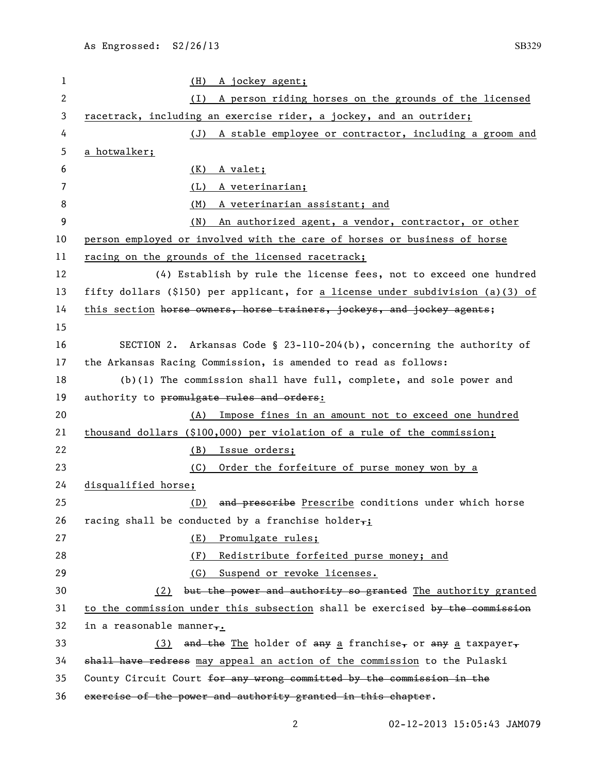| $\mathbf{1}$ | A jockey agent;<br>(H)                                                         |
|--------------|--------------------------------------------------------------------------------|
| 2            | A person riding horses on the grounds of the licensed<br>(I)                   |
| 3            | racetrack, including an exercise rider, a jockey, and an outrider;             |
| 4            | (J) A stable employee or contractor, including a groom and                     |
| 5            | a hotwalker;                                                                   |
| 6            | (K)<br>A valet;                                                                |
| 7            | (L)<br>A veterinarian;                                                         |
| 8            | (M)<br>A veterinarian assistant; and                                           |
| 9            | An authorized agent, a vendor, contractor, or other<br>(N)                     |
| 10           | person employed or involved with the care of horses or business of horse       |
| 11           | racing on the grounds of the licensed racetrack;                               |
| 12           | (4) Establish by rule the license fees, not to exceed one hundred              |
| 13           | fifty dollars (\$150) per applicant, for a license under subdivision (a)(3) of |
| 14           | this section horse owners, horse trainers, jockeys, and jockey agents;         |
| 15           |                                                                                |
| 16           | SECTION 2. Arkansas Code § 23-110-204(b), concerning the authority of          |
| 17           | the Arkansas Racing Commission, is amended to read as follows:                 |
| 18           | $(b)(1)$ The commission shall have full, complete, and sole power and          |
| 19           | authority to promulgate rules and orders:                                      |
| 20           | Impose fines in an amount not to exceed one hundred<br>(A)                     |
| 21           | thousand dollars (\$100,000) per violation of a rule of the commission;        |
| 22           | Issue orders;<br>(B)                                                           |
| 23           | Order the forfeiture of purse money won by a<br>(C)                            |
| 24           | disqualified horse;                                                            |
| 25           | (D) and preseribe Prescribe conditions under which horse                       |
| 26           | racing shall be conducted by a franchise holder $\tau$ :                       |
| 27           | (E) Promulgate rules;                                                          |
| 28           | Redistribute forfeited purse money; and<br>(F)                                 |
| 29           | Suspend or revoke licenses.<br>(G)                                             |
| 30           | (2) but the power and authority so granted The authority granted               |
| 31           | to the commission under this subsection shall be exercised by the commission   |
| 32           | in a reasonable manner,.                                                       |
| 33           | (3) and the The holder of any a franchise, or any a taxpayer,                  |
| 34           | shall have redress may appeal an action of the commission to the Pulaski       |
| 35           | County Circuit Court for any wrong committed by the commission in the          |
| 36           | exercise of the power and authority granted in this chapter.                   |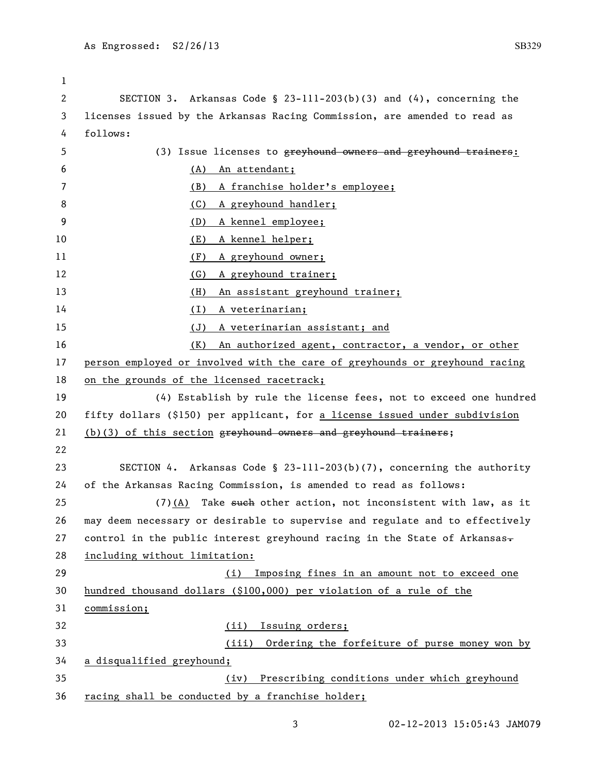| 1  |                                                                              |  |
|----|------------------------------------------------------------------------------|--|
| 2  | SECTION 3. Arkansas Code § 23-111-203(b)(3) and $(4)$ , concerning the       |  |
| 3  | licenses issued by the Arkansas Racing Commission, are amended to read as    |  |
| 4  | follows:                                                                     |  |
| 5  | (3) Issue licenses to greyhound owners and greyhound trainers:               |  |
| 6  | An attendant;<br>(A)                                                         |  |
| 7  | A franchise holder's employee;<br>(B)                                        |  |
| 8  | A greyhound handler;<br>(C)                                                  |  |
| 9  | A kennel employee;<br>(D)                                                    |  |
| 10 | A kennel helper;<br>(E)                                                      |  |
| 11 | A greyhound owner;<br>(F)                                                    |  |
| 12 | A greyhound trainer;<br>(G)                                                  |  |
| 13 | An assistant greyhound trainer;<br>(H)                                       |  |
| 14 | (1)<br>A veterinarian;                                                       |  |
| 15 | (J)<br><u>A veterinarian assistant; and</u>                                  |  |
| 16 | <u>(K)</u><br>An authorized agent, contractor, a vendor, or other            |  |
| 17 | person employed or involved with the care of greyhounds or greyhound racing  |  |
| 18 | on the grounds of the licensed racetrack;                                    |  |
| 19 | (4) Establish by rule the license fees, not to exceed one hundred            |  |
| 20 | fifty dollars (\$150) per applicant, for a license issued under subdivision  |  |
| 21 | (b)(3) of this section greyhound owners and greyhound trainers;              |  |
| 22 |                                                                              |  |
| 23 | SECTION 4. Arkansas Code § 23-111-203(b)(7), concerning the authority        |  |
| 24 | of the Arkansas Racing Commission, is amended to read as follows:            |  |
| 25 | $(7)$ (A) Take such other action, not inconsistent with law, as it           |  |
| 26 | may deem necessary or desirable to supervise and regulate and to effectively |  |
| 27 | control in the public interest greyhound racing in the State of Arkansas-    |  |
| 28 | including without limitation:                                                |  |
| 29 | Imposing fines in an amount not to exceed one<br>(i)                         |  |
| 30 | hundred thousand dollars (\$100,000) per violation of a rule of the          |  |
| 31 | commission;                                                                  |  |
| 32 | Issuing orders;<br>(ii)                                                      |  |
| 33 | Ordering the forfeiture of purse money won by<br>(iii)                       |  |
| 34 | a disqualified greyhound;                                                    |  |
| 35 | Prescribing conditions under which greyhound<br>(iv)                         |  |
| 36 | racing shall be conducted by a franchise holder;                             |  |

3 02-12-2013 15:05:43 JAM079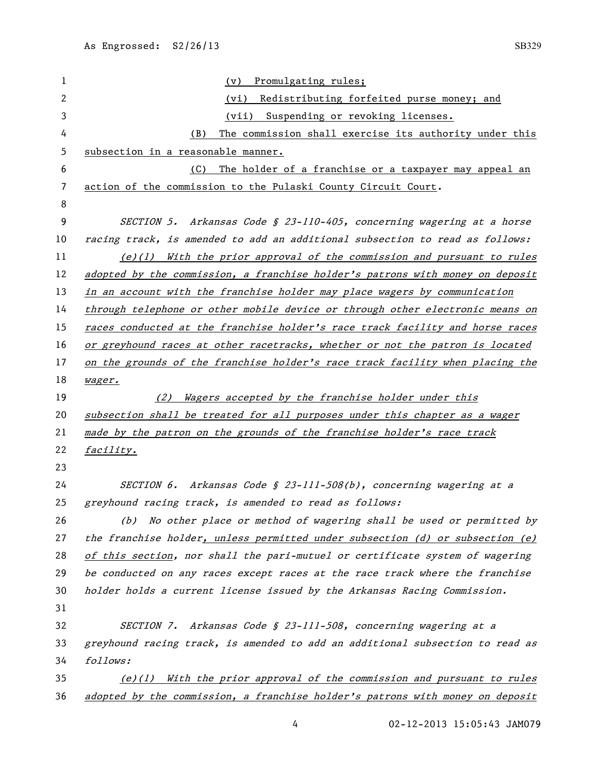| 1              | Promulgating rules;<br>(v)                                                    |  |
|----------------|-------------------------------------------------------------------------------|--|
| $\mathbf{2}$   | Redistributing forfeited purse money; and<br>(vi)                             |  |
| 3              | Suspending or revoking licenses.<br>(vii)                                     |  |
| 4              | The commission shall exercise its authority under this<br>(B)                 |  |
| 5              | subsection in a reasonable manner.                                            |  |
| 6              | The holder of a franchise or a taxpayer may appeal an<br>(C)                  |  |
| $\overline{7}$ | action of the commission to the Pulaski County Circuit Court.                 |  |
| 8              |                                                                               |  |
| 9              | SECTION 5. Arkansas Code § 23-110-405, concerning wagering at a horse         |  |
| 10             | racing track, is amended to add an additional subsection to read as follows:  |  |
| 11             | $(e)(1)$ With the prior approval of the commission and pursuant to rules      |  |
| 12             | adopted by the commission, a franchise holder's patrons with money on deposit |  |
| 13             | in an account with the franchise holder may place wagers by communication     |  |
| 14             | through telephone or other mobile device or through other electronic means on |  |
| 15             | races conducted at the franchise holder's race track facility and horse races |  |
| 16             | or greyhound races at other racetracks, whether or not the patron is located  |  |
| 17             | on the grounds of the franchise holder's race track facility when placing the |  |
| 18             | wager.                                                                        |  |
| 19             | Wagers accepted by the franchise holder under this<br>(2)                     |  |
| 20             | subsection shall be treated for all purposes under this chapter as a wager    |  |
| 21             | made by the patron on the grounds of the franchise holder's race track        |  |
| 22             | facility.                                                                     |  |
| 23             |                                                                               |  |
|                |                                                                               |  |
| 24             | SECTION 6. Arkansas Code § 23-111-508(b), concerning wagering at a            |  |
| 25             | greyhound racing track, is amended to read as follows:                        |  |
| 26             | No other place or method of wagering shall be used or permitted by<br>(b)     |  |
| 27             | the franchise holder, unless permitted under subsection (d) or subsection (e) |  |
| 28             | of this section, nor shall the pari-mutuel or certificate system of wagering  |  |
| 29             | be conducted on any races except races at the race track where the franchise  |  |
| 30             | holder holds a current license issued by the Arkansas Racing Commission.      |  |
| 31             |                                                                               |  |
| 32             | SECTION 7. Arkansas Code § 23-111-508, concerning wagering at a               |  |
| 33             | greyhound racing track, is amended to add an additional subsection to read as |  |
| 34             | follows:                                                                      |  |
| 35             | (e)(1) With the prior approval of the commission and pursuant to rules        |  |

4 02-12-2013 15:05:43 JAM079